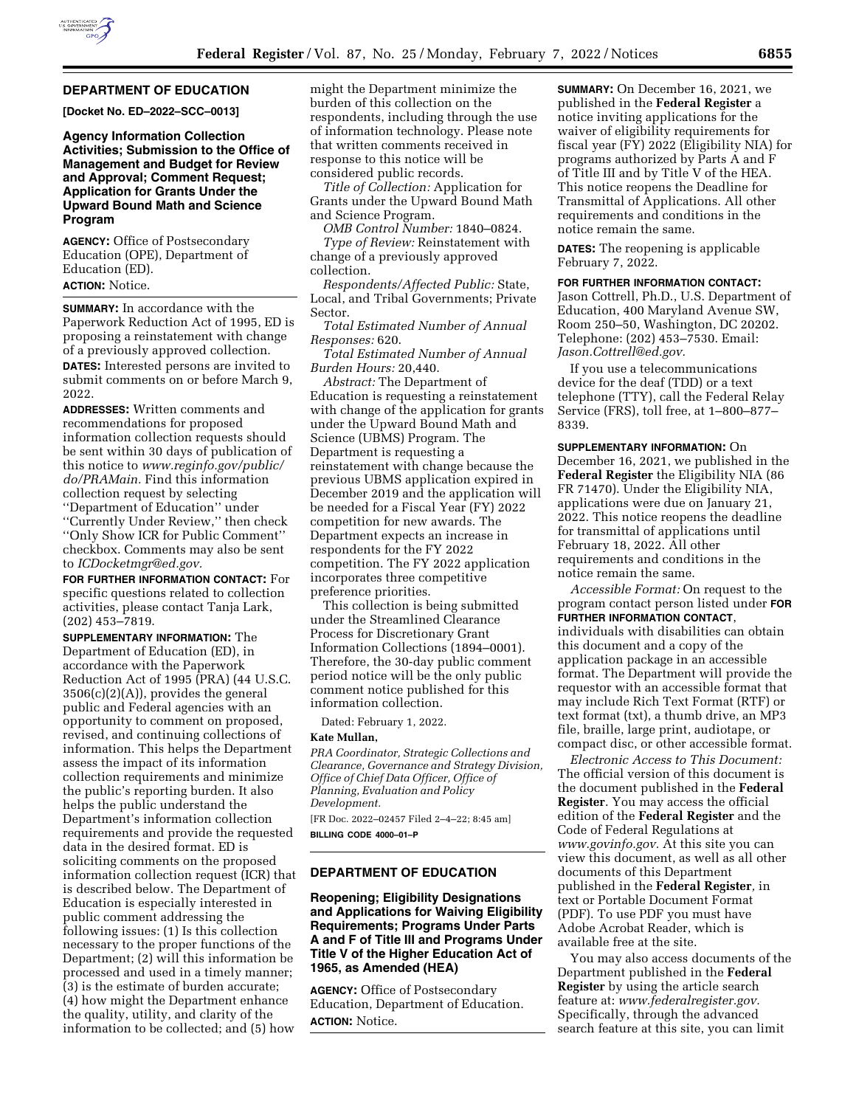

## **DEPARTMENT OF EDUCATION**

**[Docket No. ED–2022–SCC–0013]** 

**Agency Information Collection Activities; Submission to the Office of Management and Budget for Review and Approval; Comment Request; Application for Grants Under the Upward Bound Math and Science Program** 

**AGENCY:** Office of Postsecondary Education (OPE), Department of Education (ED). **ACTION:** Notice.

**SUMMARY:** In accordance with the Paperwork Reduction Act of 1995, ED is proposing a reinstatement with change of a previously approved collection. **DATES:** Interested persons are invited to submit comments on or before March 9, 2022.

**ADDRESSES:** Written comments and recommendations for proposed information collection requests should be sent within 30 days of publication of this notice to *[www.reginfo.gov/public/](http://www.reginfo.gov/public/do/PRAMain) [do/PRAMain.](http://www.reginfo.gov/public/do/PRAMain)* Find this information collection request by selecting ''Department of Education'' under ''Currently Under Review,'' then check ''Only Show ICR for Public Comment'' checkbox. Comments may also be sent to *[ICDocketmgr@ed.gov.](mailto:ICDocketmgr@ed.gov)* 

**FOR FURTHER INFORMATION CONTACT:** For specific questions related to collection activities, please contact Tanja Lark, (202) 453–7819.

**SUPPLEMENTARY INFORMATION:** The Department of Education (ED), in accordance with the Paperwork Reduction Act of 1995 (PRA) (44 U.S.C. 3506(c)(2)(A)), provides the general public and Federal agencies with an opportunity to comment on proposed, revised, and continuing collections of information. This helps the Department assess the impact of its information collection requirements and minimize the public's reporting burden. It also helps the public understand the Department's information collection requirements and provide the requested data in the desired format. ED is soliciting comments on the proposed information collection request (ICR) that is described below. The Department of Education is especially interested in public comment addressing the following issues: (1) Is this collection necessary to the proper functions of the Department; (2) will this information be processed and used in a timely manner; (3) is the estimate of burden accurate; (4) how might the Department enhance the quality, utility, and clarity of the information to be collected; and (5) how

might the Department minimize the burden of this collection on the respondents, including through the use of information technology. Please note that written comments received in response to this notice will be considered public records.

*Title of Collection:* Application for Grants under the Upward Bound Math and Science Program.

*OMB Control Number:* 1840–0824.

*Type of Review:* Reinstatement with change of a previously approved collection.

*Respondents/Affected Public:* State, Local, and Tribal Governments; Private Sector.

*Total Estimated Number of Annual Responses:* 620.

*Total Estimated Number of Annual Burden Hours:* 20,440.

*Abstract:* The Department of Education is requesting a reinstatement with change of the application for grants under the Upward Bound Math and Science (UBMS) Program. The Department is requesting a reinstatement with change because the previous UBMS application expired in December 2019 and the application will be needed for a Fiscal Year (FY) 2022 competition for new awards. The Department expects an increase in respondents for the FY 2022 competition. The FY 2022 application incorporates three competitive preference priorities.

This collection is being submitted under the Streamlined Clearance Process for Discretionary Grant Information Collections (1894–0001). Therefore, the 30-day public comment period notice will be the only public comment notice published for this information collection.

Dated: February 1, 2022.

# **Kate Mullan,**

*PRA Coordinator, Strategic Collections and Clearance, Governance and Strategy Division, Office of Chief Data Officer, Office of Planning, Evaluation and Policy Development.* 

[FR Doc. 2022–02457 Filed 2–4–22; 8:45 am] **BILLING CODE 4000–01–P** 

### **DEPARTMENT OF EDUCATION**

# **Reopening; Eligibility Designations and Applications for Waiving Eligibility Requirements; Programs Under Parts A and F of Title III and Programs Under Title V of the Higher Education Act of 1965, as Amended (HEA)**

**AGENCY:** Office of Postsecondary Education, Department of Education. **ACTION:** Notice.

**SUMMARY:** On December 16, 2021, we published in the **Federal Register** a notice inviting applications for the waiver of eligibility requirements for fiscal year (FY) 2022 (Eligibility NIA) for programs authorized by Parts A and F of Title III and by Title V of the HEA. This notice reopens the Deadline for Transmittal of Applications. All other requirements and conditions in the notice remain the same.

**DATES:** The reopening is applicable February 7, 2022.

### **FOR FURTHER INFORMATION CONTACT:**

Jason Cottrell, Ph.D., U.S. Department of Education, 400 Maryland Avenue SW, Room 250–50, Washington, DC 20202. Telephone: (202) 453–7530. Email: *[Jason.Cottrell@ed.gov.](mailto:Jason.Cottrell@ed.gov)* 

If you use a telecommunications device for the deaf (TDD) or a text telephone (TTY), call the Federal Relay Service (FRS), toll free, at 1–800–877– 8339.

**SUPPLEMENTARY INFORMATION:** On December 16, 2021, we published in the **Federal Register** the Eligibility NIA (86 FR 71470). Under the Eligibility NIA, applications were due on January 21, 2022. This notice reopens the deadline for transmittal of applications until February 18, 2022. All other requirements and conditions in the notice remain the same.

*Accessible Format:* On request to the program contact person listed under **FOR FURTHER INFORMATION CONTACT**, individuals with disabilities can obtain this document and a copy of the application package in an accessible format. The Department will provide the requestor with an accessible format that may include Rich Text Format (RTF) or text format (txt), a thumb drive, an MP3 file, braille, large print, audiotape, or compact disc, or other accessible format.

*Electronic Access to This Document:*  The official version of this document is the document published in the **Federal Register**. You may access the official edition of the **Federal Register** and the Code of Federal Regulations at *[www.govinfo.gov.](http://www.govinfo.gov)* At this site you can view this document, as well as all other documents of this Department published in the **Federal Register***,* in text or Portable Document Format (PDF). To use PDF you must have Adobe Acrobat Reader, which is available free at the site.

You may also access documents of the Department published in the **Federal Register** by using the article search feature at: *[www.federalregister.gov.](http://www.federalregister.gov)*  Specifically, through the advanced search feature at this site, you can limit